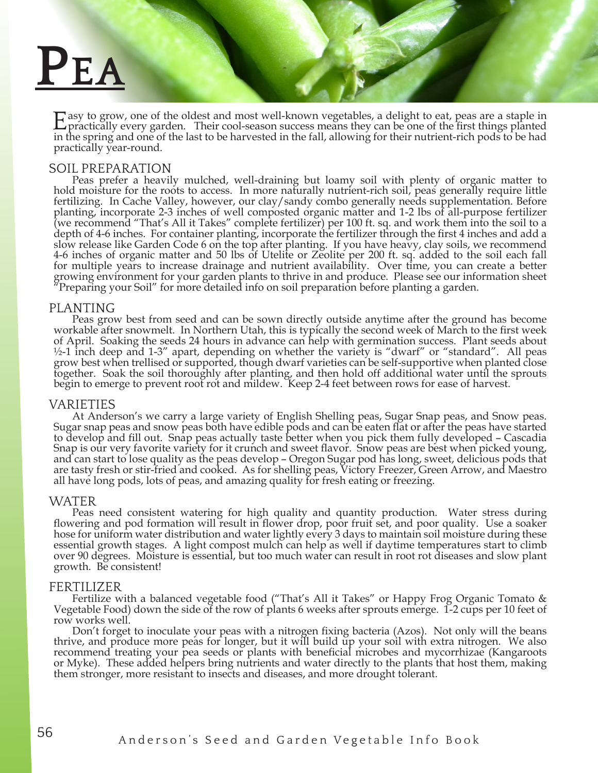# **Pea**

Easy to grow, one of the oldest and most well-known vegetables, a delight to eat, peas are a staple in practically every garden. Their cool-season success means they can be one of the first things planted in the spring and one of the last to be harvested in the fall, allowing for their nutrient-rich pods to be had practically year-round.

## SOIL PREPARATION

Peas prefer a heavily mulched, well-draining but loamy soil with plenty of organic matter to hold moisture for the roots to access. In more naturally nutrient-rich soil, peas generally require little fertilizing. In Cache Valley, however, our clay/sandy combo generally needs supplementation. Before planting, incorporate 2-3 inches of well composted organic matter and 1-2 lbs of all-purpose fertilizer (we recommend "That's All it Takes" complete fertilizer) per 100 ft. sq. and work them into the soil to a depth of 4-6 inches. For container planting, incorporate the fertilizer through the first 4 inches and add a slow release like Garden Code 6 on the top after planting. If you have heavy, clay soils, we recommend 4-6 inches of organic matter and 50 lbs of Utelite or Zeolite per 200 ft. sq. added to the soil each fall for multiple years to increase drainage and nutrient availability. Over time, you can create a better growing environment for your garden plants to thrive in and produce. Please see our information sheet "Preparing your Soil" for more detailed info on soil preparation before planting a garden.

PLANTING<br>Peas grow best from seed and can be sown directly outside anytime after the ground has become workable after snowmelt. In Northern Utah, this is typically the second week of March to the first week of April. Soaking the seeds 24 hours in advance can help with germination success. Plant seeds about  $\frac{1}{2}$ -1 inch deep and 1-3" apart, depending on whether the variety is "dwarf" or "standard". All peas grow best when trellised or supported, though dwarf varieties can be self-supportive when planted close together. Soak the soil thoroughly after planting, and then hold off additional water until the sprouts begin to emerge to prevent root rot and mildew. Keep 2-4 feet between rows for ease of harvest.

VARIETIES<br>At Anderson's we carry a large variety of English Shelling peas, Sugar Snap peas, and Snow peas. At Anderson's we carry a large variety of English Shelling peas, Sugar Snap peas, and Snow peas. Sugar snap peas and snow peas both have edible pods and can be eaten flat or after the peas have started to develop and fill out. Snap peas actually taste better when you pick them fully developed – Cascadia Snap is our very favorite variety for it crunch and sweet flavor. Snow peas are best when picked young, and can start to lose quality as the peas develop – Oregon Sugar pod has long, sweet, delicious pods that are tasty fresh or stir-fried and cooked. As for shelling peas, Victory Freezer, Green Arrow, and Maestro all have long pods, lots of peas, and amazing quality for fresh eating or freezing.

## WATER

Peas need consistent watering for high quality and quantity production. Water stress during flowering and pod formation will result in flower drop, poor fruit set, and poor quality. Use a soaker hose for uniform water distribution and water lightly every 3 days to maintain soil moisture during these essential growth stages. A light compost mulch can help as well if daytime temperatures start to climb over 90 degrees. Moisture is essential, but too much water can result in root rot diseases and slow plant growth. Be consistent!

FERTILIZER<br>Fertilize with a balanced vegetable food ("That's All it Takes" or Happy Frog Organic Tomato & Vegetable Food) down the side of the row of plants 6 weeks after sprouts emerge.  $1-2$  cups per 10 feet of row works well.

Don't forget to inoculate your peas with a nitrogen fixing bacteria (Azos). Not only will the beans thrive, and produce more peas for longer, but it will build up your soil with extra nitrogen. We also recommend treating your pea seeds or plants with beneficial microbes and mycorrhizae (Kangaroots or Myke). These added helpers bring nutrients and water directly to the plants that host them, making them stronger, more resistant to insects and diseases, and more drought tolerant.